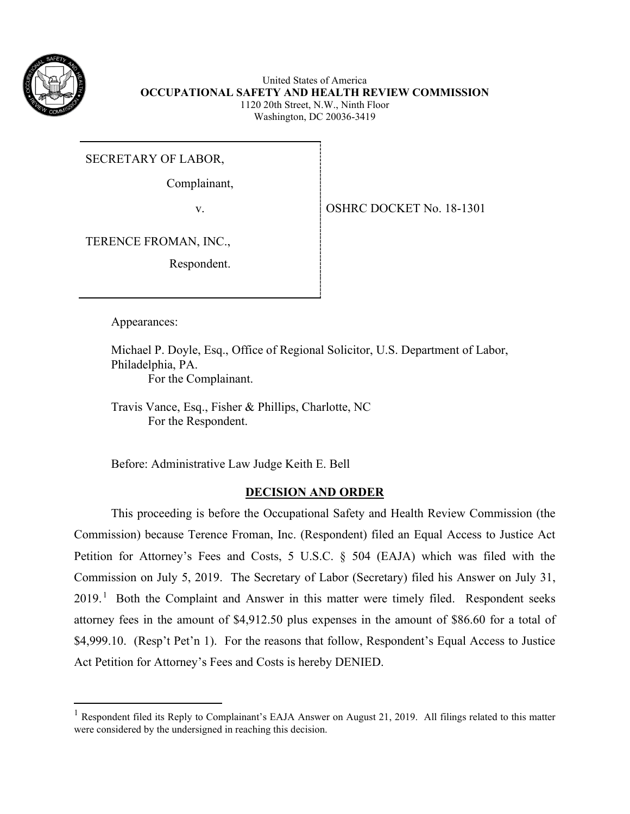

United States of America **OCCUPATIONAL SAFETY AND HEALTH REVIEW COMMISSION** 1120 20th Street, N.W., Ninth Floor Washington, DC 20036-3419

SECRETARY OF LABOR,

Complainant,

v. SOLUTE: 08HRC DOCKET No. 18-1301

TERENCE FROMAN, INC.,

Respondent.

Appearances:

Michael P. Doyle, Esq., Office of Regional Solicitor, U.S. Department of Labor, Philadelphia, PA. For the Complainant.

Travis Vance, Esq., Fisher & Phillips, Charlotte, NC For the Respondent.

Before: Administrative Law Judge Keith E. Bell

# **DECISION AND ORDER**

This proceeding is before the Occupational Safety and Health Review Commission (the Commission) because Terence Froman, Inc. (Respondent) filed an Equal Access to Justice Act Petition for Attorney's Fees and Costs, 5 U.S.C. § 504 (EAJA) which was filed with the Commission on July 5, 2019. The Secretary of Labor (Secretary) filed his Answer on July 31,  $2019<sup>1</sup>$  $2019<sup>1</sup>$  $2019<sup>1</sup>$  Both the Complaint and Answer in this matter were timely filed. Respondent seeks attorney fees in the amount of \$4,912.50 plus expenses in the amount of \$86.60 for a total of \$4,999.10. (Resp't Pet'n 1). For the reasons that follow, Respondent's Equal Access to Justice Act Petition for Attorney's Fees and Costs is hereby DENIED.

<span id="page-0-0"></span>Respondent filed its Reply to Complainant's EAJA Answer on August 21, 2019. All filings related to this matter were considered by the undersigned in reaching this decision.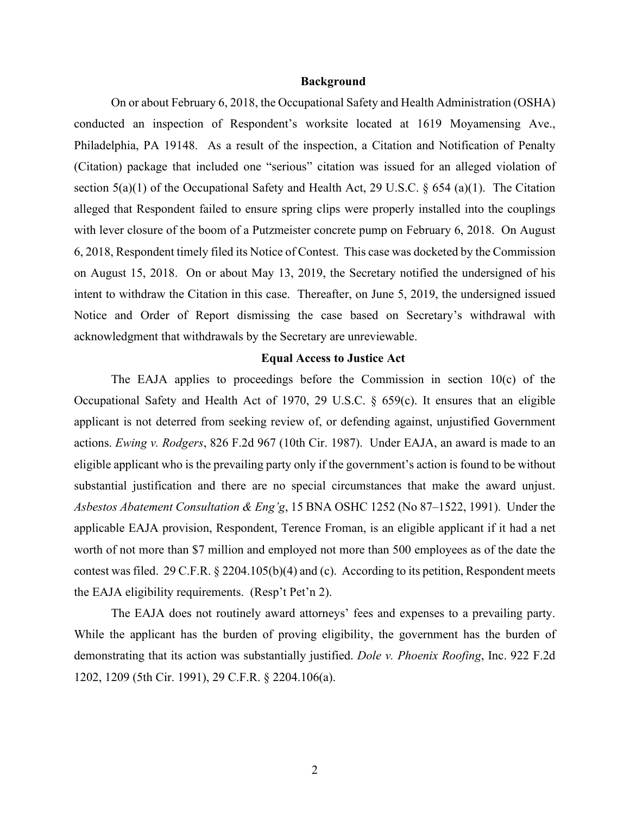#### **Background**

On or about February 6, 2018, the Occupational Safety and Health Administration (OSHA) conducted an inspection of Respondent's worksite located at 1619 Moyamensing Ave., Philadelphia, PA 19148. As a result of the inspection, a Citation and Notification of Penalty (Citation) package that included one "serious" citation was issued for an alleged violation of section 5(a)(1) of the Occupational Safety and Health Act, 29 U.S.C. § 654 (a)(1). The Citation alleged that Respondent failed to ensure spring clips were properly installed into the couplings with lever closure of the boom of a Putzmeister concrete pump on February 6, 2018. On August 6, 2018, Respondent timely filed its Notice of Contest. This case was docketed by the Commission on August 15, 2018. On or about May 13, 2019, the Secretary notified the undersigned of his intent to withdraw the Citation in this case. Thereafter, on June 5, 2019, the undersigned issued Notice and Order of Report dismissing the case based on Secretary's withdrawal with acknowledgment that withdrawals by the Secretary are unreviewable.

### **Equal Access to Justice Act**

The EAJA applies to proceedings before the Commission in section  $10(c)$  of the Occupational Safety and Health Act of 1970, 29 U.S.C. § 659(c). It ensures that an eligible applicant is not deterred from seeking review of, or defending against, unjustified Government actions. *Ewing v. Rodgers*, 826 F.2d 967 (10th Cir. 1987). Under EAJA, an award is made to an eligible applicant who is the prevailing party only if the government's action is found to be without substantial justification and there are no special circumstances that make the award unjust. *Asbestos Abatement Consultation & Eng'g*, 15 BNA OSHC 1252 (No 87–1522, 1991). Under the applicable EAJA provision, Respondent, Terence Froman, is an eligible applicant if it had a net worth of not more than \$7 million and employed not more than 500 employees as of the date the contest was filed. 29 C.F.R. § 2204.105(b)(4) and (c). According to its petition, Respondent meets the EAJA eligibility requirements. (Resp't Pet'n 2).

The EAJA does not routinely award attorneys' fees and expenses to a prevailing party. While the applicant has the burden of proving eligibility, the government has the burden of demonstrating that its action was substantially justified. *Dole v. Phoenix Roofing*, Inc. 922 F.2d 1202, 1209 (5th Cir. 1991), 29 C.F.R. § 2204.106(a).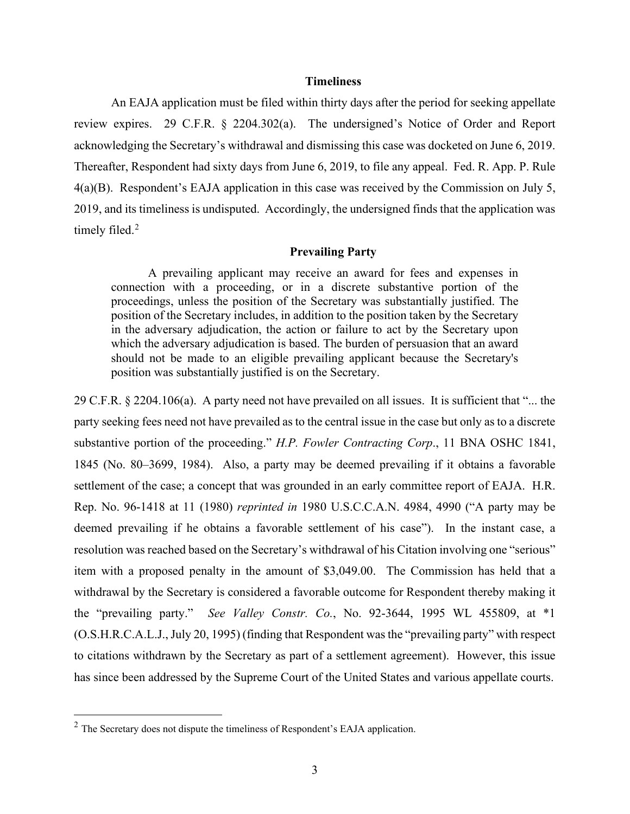#### **Timeliness**

An EAJA application must be filed within thirty days after the period for seeking appellate review expires. 29 C.F.R. § 2204.302(a). The undersigned's Notice of Order and Report acknowledging the Secretary's withdrawal and dismissing this case was docketed on June 6, 2019. Thereafter, Respondent had sixty days from June 6, 2019, to file any appeal. Fed. R. App. P. Rule 4(a)(B). Respondent's EAJA application in this case was received by the Commission on July 5, 2019, and its timeliness is undisputed. Accordingly, the undersigned finds that the application was timely filed.<sup>[2](#page-2-0)</sup>

#### **Prevailing Party**

A prevailing applicant may receive an award for fees and expenses in connection with a proceeding, or in a discrete substantive portion of the proceedings, unless the position of the Secretary was substantially justified. The position of the Secretary includes, in addition to the position taken by the Secretary in the adversary adjudication, the action or failure to act by the Secretary upon which the adversary adjudication is based. The burden of persuasion that an award should not be made to an eligible prevailing applicant because the Secretary's position was substantially justified is on the Secretary.

29 C.F.R. § 2204.106(a). A party need not have prevailed on all issues. It is sufficient that "... the party seeking fees need not have prevailed as to the central issue in the case but only as to a discrete substantive portion of the proceeding." *H.P. Fowler Contracting Corp*., 11 BNA OSHC 1841, 1845 (No. 80–3699, 1984). Also, a party may be deemed prevailing if it obtains a favorable settlement of the case; a concept that was grounded in an early committee report of EAJA. H.R. Rep. No. 96-1418 at 11 (1980) *reprinted in* 1980 U.S.C.C.A.N. 4984, 4990 ("A party may be deemed prevailing if he obtains a favorable settlement of his case"). In the instant case, a resolution was reached based on the Secretary's withdrawal of his Citation involving one "serious" item with a proposed penalty in the amount of \$3,049.00. The Commission has held that a withdrawal by the Secretary is considered a favorable outcome for Respondent thereby making it the "prevailing party." *See Valley Constr. Co.*, No. 92-3644, 1995 WL 455809, at \*1 (O.S.H.R.C.A.L.J., July 20, 1995) (finding that Respondent was the "prevailing party" with respect to citations withdrawn by the Secretary as part of a settlement agreement). However, this issue has since been addressed by the Supreme Court of the United States and various appellate courts.

<span id="page-2-0"></span> $<sup>2</sup>$  The Secretary does not dispute the timeliness of Respondent's EAJA application.</sup>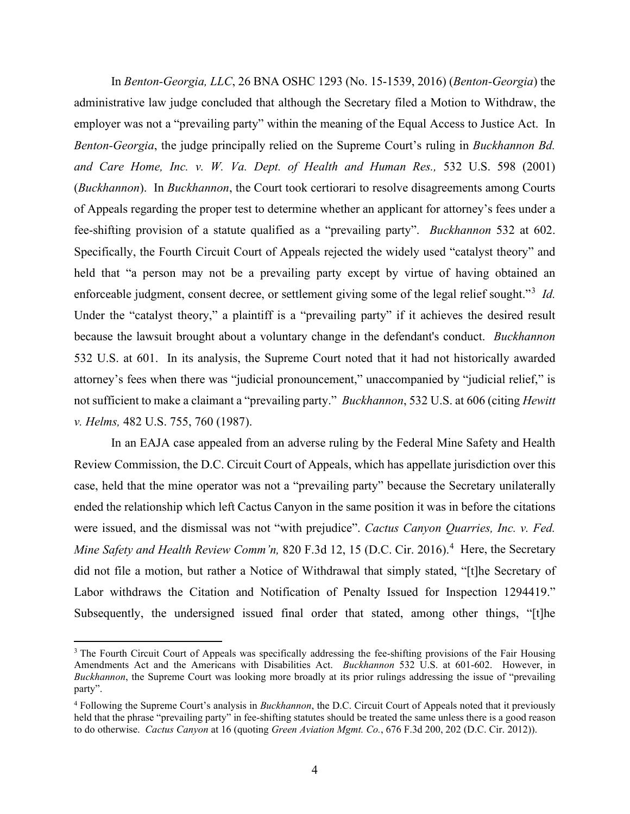In *Benton-Georgia, LLC*, 26 BNA OSHC 1293 (No. 15-1539, 2016) (*Benton-Georgia*) the administrative law judge concluded that although the Secretary filed a Motion to Withdraw, the employer was not a "prevailing party" within the meaning of the Equal Access to Justice Act. In *Benton-Georgia*, the judge principally relied on the Supreme Court's ruling in *Buckhannon Bd. and Care Home, Inc. v. W. Va. Dept. of Health and Human Res.,* 532 U.S. 598 (2001) (*Buckhannon*). In *Buckhannon*, the Court took certiorari to resolve disagreements among Courts of Appeals regarding the proper test to determine whether an applicant for attorney's fees under a fee-shifting provision of a statute qualified as a "prevailing party". *Buckhannon* 532 at 602. Specifically, the Fourth Circuit Court of Appeals rejected the widely used "catalyst theory" and held that "a person may not be a prevailing party except by virtue of having obtained an enforceable judgment, consent decree, or settlement giving some of the legal relief sought."<sup>[3](#page-3-0)</sup> Id. Under the "catalyst theory," a plaintiff is a "prevailing party" if it achieves the desired result because the lawsuit brought about a voluntary change in the defendant's conduct. *Buckhannon*  532 U.S. at 601.In its analysis, the Supreme Court noted that it had not historically awarded attorney's fees when there was "judicial pronouncement," unaccompanied by "judicial relief," is not sufficient to make a claimant a "prevailing party." *Buckhannon*, 532 U.S. at 606 (citing *Hewitt v. Helms,* 482 U.S. 755, 760 (1987).

In an EAJA case appealed from an adverse ruling by the Federal Mine Safety and Health Review Commission, the D.C. Circuit Court of Appeals, which has appellate jurisdiction over this case, held that the mine operator was not a "prevailing party" because the Secretary unilaterally ended the relationship which left Cactus Canyon in the same position it was in before the citations were issued, and the dismissal was not "with prejudice". *Cactus Canyon Quarries, Inc. v. Fed.*  Mine Safety and Health Review Comm'n, 820 F.3d 12, 15 (D.C. Cir. 2016).<sup>[4](#page-3-1)</sup> Here, the Secretary did not file a motion, but rather a Notice of Withdrawal that simply stated, "[t]he Secretary of Labor withdraws the Citation and Notification of Penalty Issued for Inspection 1294419." Subsequently, the undersigned issued final order that stated, among other things, "[t]he

<span id="page-3-0"></span><sup>&</sup>lt;sup>3</sup> The Fourth Circuit Court of Appeals was specifically addressing the fee-shifting provisions of the Fair Housing Amendments Act and the Americans with Disabilities Act. *Buckhannon* 532 U.S. at 601-602. However, in *Buckhannon*, the Supreme Court was looking more broadly at its prior rulings addressing the issue of "prevailing party".

<span id="page-3-1"></span><sup>4</sup> Following the Supreme Court's analysis in *Buckhannon*, the D.C. Circuit Court of Appeals noted that it previously held that the phrase "prevailing party" in fee-shifting statutes should be treated the same unless there is a good reason to do otherwise. *Cactus Canyon* at 16 (quoting *Green Aviation Mgmt. Co.*, 676 F.3d 200, 202 (D.C. Cir. 2012)).